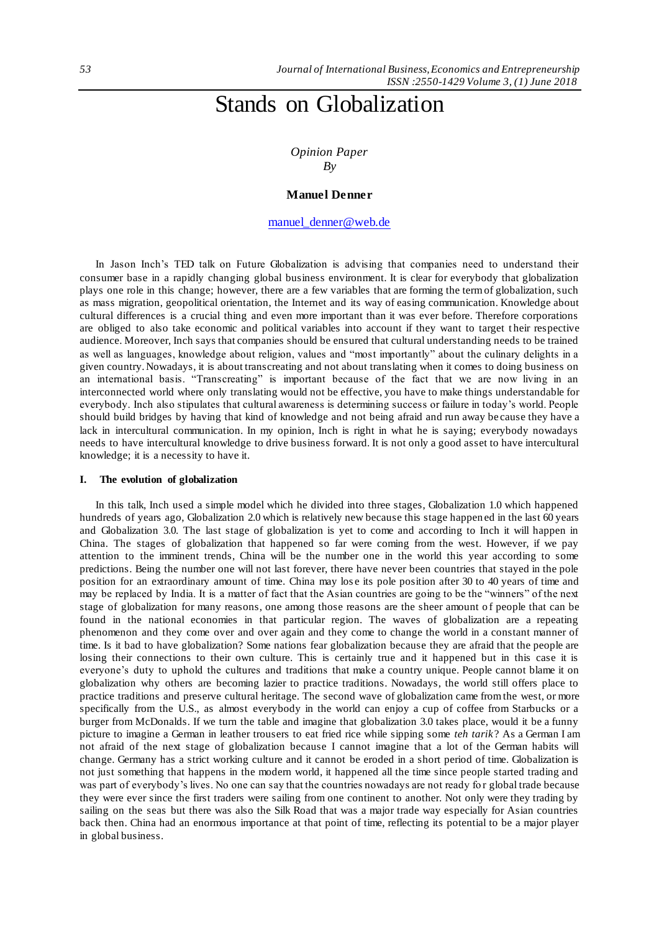# Stands on Globalization

*Opinion Paper By*

### **Manuel Denner**

# [manuel\\_denner@web.de](mailto:manuel_denner@web.de)

In Jason Inch's TED talk on Future Globalization is advising that companies need to understand their consumer base in a rapidly changing global business environment. It is clear for everybody that globalization plays one role in this change; however, there are a few variables that are forming the term of globalization, such as mass migration, geopolitical orientation, the Internet and its way of easing communication. Knowledge about cultural differences is a crucial thing and even more important than it was ever before. Therefore corporations are obliged to also take economic and political variables into account if they want to target t heir respective audience. Moreover, Inch says that companies should be ensured that cultural understanding needs to be trained as well as languages, knowledge about religion, values and "most importantly" about the culinary delights in a given country. Nowadays, it is about transcreating and not about translating when it comes to doing business on an international basis. "Transcreating" is important because of the fact that we are now living in an interconnected world where only translating would not be effective, you have to make things understandable for everybody. Inch also stipulates that cultural awareness is determining success or failure in today's world. People should build bridges by having that kind of knowledge and not being afraid and run away be cause they have a lack in intercultural communication. In my opinion, Inch is right in what he is saying; everybody nowadays needs to have intercultural knowledge to drive business forward. It is not only a good asset to have intercultural knowledge; it is a necessity to have it.

#### **I. The evolution of globalization**

In this talk, Inch used a simple model which he divided into three stages, Globalization 1.0 which happened hundreds of years ago, Globalization 2.0 which is relatively new because this stage happen ed in the last 60 years and Globalization 3.0. The last stage of globalization is yet to come and according to Inch it will happen in China. The stages of globalization that happened so far were coming from the west. However, if we pay attention to the imminent trends, China will be the number one in the world this year according to some predictions. Being the number one will not last forever, there have never been countries that stayed in the pole position for an extraordinary amount of time. China may los e its pole position after 30 to 40 years of time and may be replaced by India. It is a matter of fact that the Asian countries are going to be the "winners" of the next stage of globalization for many reasons, one among those reasons are the sheer amount of people that can be found in the national economies in that particular region. The waves of globalization are a repeating phenomenon and they come over and over again and they come to change the world in a constant manner of time. Is it bad to have globalization? Some nations fear globalization because they are afraid that the people are losing their connections to their own culture. This is certainly true and it happened but in this case it is everyone's duty to uphold the cultures and traditions that make a country unique. People cannot blame it on globalization why others are becoming lazier to practice traditions. Nowadays, the world still offers place to practice traditions and preserve cultural heritage. The second wave of globalization came from the west, or more specifically from the U.S., as almost everybody in the world can enjoy a cup of coffee from Starbucks or a burger from McDonalds. If we turn the table and imagine that globalization 3.0 takes place, would it be a funny picture to imagine a German in leather trousers to eat fried rice while sipping some *teh tarik*? As a German I am not afraid of the next stage of globalization because I cannot imagine that a lot of the German habits will change. Germany has a strict working culture and it cannot be eroded in a short period of time. Globalization is not just something that happens in the modern world, it happened all the time since people started trading and was part of everybody's lives. No one can say that the countries nowadays are not ready for global trade because they were ever since the first traders were sailing from one continent to another. Not only were they trading by sailing on the seas but there was also the Silk Road that was a major trade way especially for Asian countries back then. China had an enormous importance at that point of time, reflecting its potential to be a major player in global business.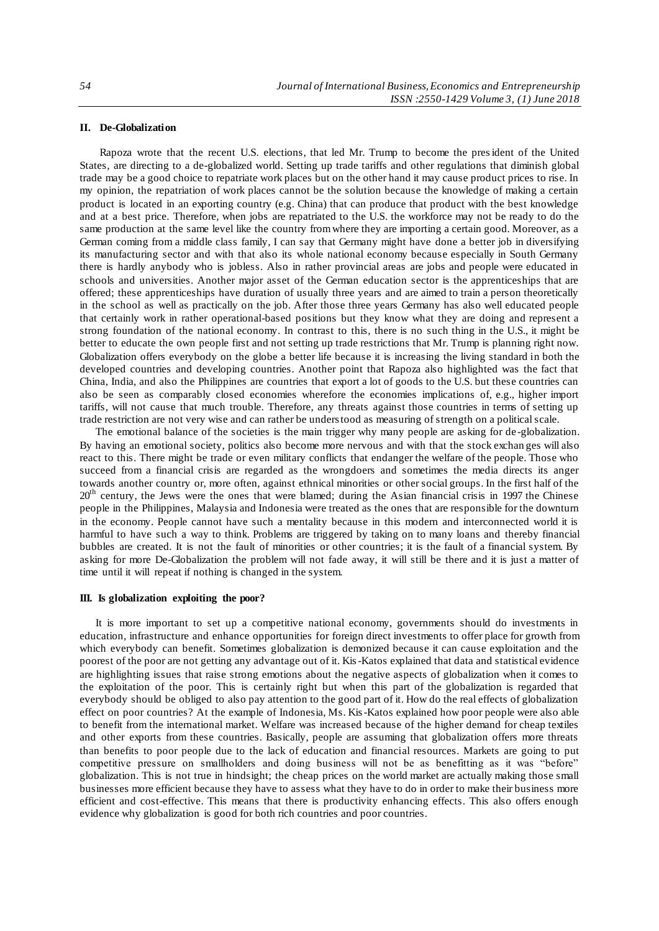## **II. De-Globalization**

Rapoza wrote that the recent U.S. elections, that led Mr. Trump to become the president of the United States, are directing to a de-globalized world. Setting up trade tariffs and other regulations that diminish global trade may be a good choice to repatriate work places but on the other hand it may cause product prices to rise. In my opinion, the repatriation of work places cannot be the solution because the knowledge of making a certain product is located in an exporting country (e.g. China) that can produce that product with the best knowledge and at a best price. Therefore, when jobs are repatriated to the U.S. the workforce may not be ready to do the same production at the same level like the country from where they are importing a certain good. Moreover, as a German coming from a middle class family, I can say that Germany might have done a better job in diversifying its manufacturing sector and with that also its whole national economy because especially in South Germany there is hardly anybody who is jobless. Also in rather provincial areas are jobs and people were educated in schools and universities. Another major asset of the German education sector is the apprenticeships that are offered; these apprenticeships have duration of usually three years and are aimed to train a person theoretically in the school as well as practically on the job. After those three years Germany has also well educated people that certainly work in rather operational-based positions but they know what they are doing and represent a strong foundation of the national economy. In contrast to this, there is no such thing in the U.S., it might be better to educate the own people first and not setting up trade restrictions that Mr. Trump is planning right now. Globalization offers everybody on the globe a better life because it is increasing the living standard in both the developed countries and developing countries. Another point that Rapoza also highlighted was the fact that China, India, and also the Philippines are countries that export a lot of goods to the U.S. but these countries can also be seen as comparably closed economies wherefore the economies implications of, e.g., higher import tariffs, will not cause that much trouble. Therefore, any threats against those countries in terms of setting up trade restriction are not very wise and can rather be understood as measuring of strength on a political scale.

The emotional balance of the societies is the main trigger why many people are asking for de -globalization. By having an emotional society, politics also become more nervous and with that the stock exchan ges will also react to this. There might be trade or even military conflicts that endanger the welfare of the people. Those who succeed from a financial crisis are regarded as the wrongdoers and sometimes the media directs its anger towards another country or, more often, against ethnical minorities or other social groups. In the first half of the 20<sup>th</sup> century, the Jews were the ones that were blamed; during the Asian financial crisis in 1997 the Chinese people in the Philippines, Malaysia and Indonesia were treated as the ones that are responsible for the downturn in the economy. People cannot have such a mentality because in this modern and interconnected world it is harmful to have such a way to think. Problems are triggered by taking on to many loans and thereby financial bubbles are created. It is not the fault of minorities or other countries; it is the fault of a financial system. By asking for more De-Globalization the problem will not fade away, it will still be there and it is just a matter of time until it will repeat if nothing is changed in the system.

### **III. Is globalization exploiting the poor?**

It is more important to set up a competitive national economy, governments should do investments in education, infrastructure and enhance opportunities for foreign direct investments to offer place for growth from which everybody can benefit. Sometimes globalization is demonized because it can cause exploitation and the poorest of the poor are not getting any advantage out of it. Kis-Katos explained that data and statistical evidence are highlighting issues that raise strong emotions about the negative aspects of globalization when it comes to the exploitation of the poor. This is certainly right but when this part of the globalization is regarded that everybody should be obliged to also pay attention to the good part of it. How do the real effects of globalization effect on poor countries? At the example of Indonesia, Ms. Kis-Katos explained how poor people were also able to benefit from the international market. Welfare was increased because of the higher demand for cheap textiles and other exports from these countries. Basically, people are assuming that globalization offers more threats than benefits to poor people due to the lack of education and financial resources. Markets are going to put competitive pressure on smallholders and doing business will not be as benefitting as it was "before" globalization. This is not true in hindsight; the cheap prices on the world market are actually making those small businesses more efficient because they have to assess what they have to do in order to make their business more efficient and cost-effective. This means that there is productivity enhancing effects. This also offers enough evidence why globalization is good for both rich countries and poor countries.